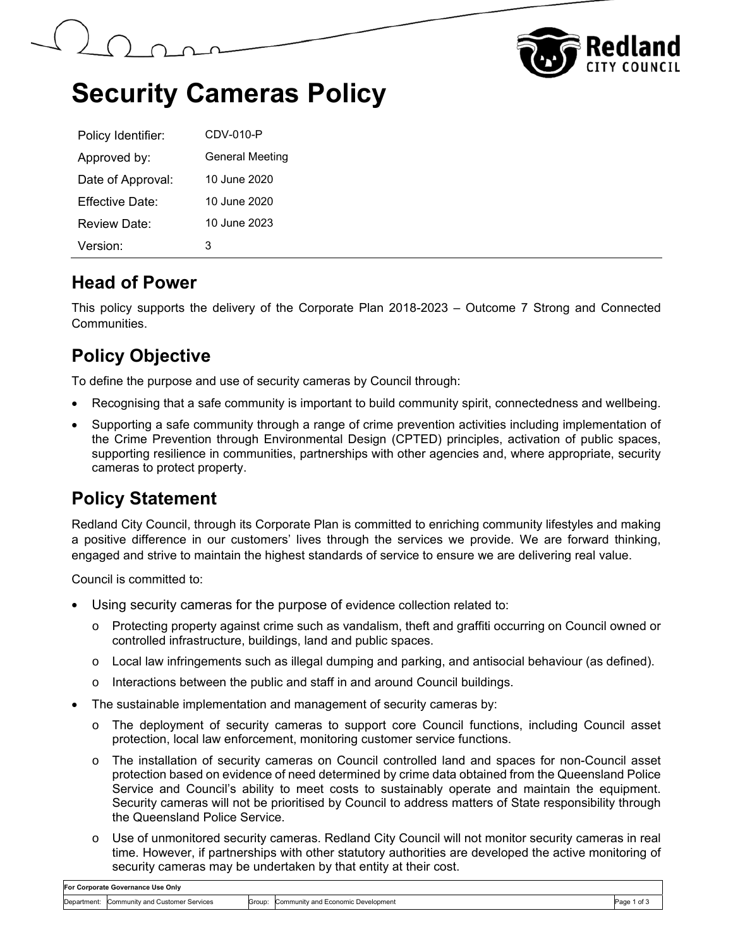



# **Security Cameras Policy**

| Policy Identifier: | CDV-010-P              |
|--------------------|------------------------|
| Approved by:       | <b>General Meeting</b> |
| Date of Approval:  | 10 June 2020           |
| Fffective Date:    | 10 June 2020           |
| Review Date:       | 10 June 2023           |
| Version:           | з                      |

#### **Head of Power**

This policy supports the delivery of the Corporate Plan 2018-2023 – Outcome 7 Strong and Connected **Communities** 

## **Policy Objective**

To define the purpose and use of security cameras by Council through:

- Recognising that a safe community is important to build community spirit, connectedness and wellbeing.
- Supporting a safe community through a range of crime prevention activities including implementation of the Crime Prevention through Environmental Design (CPTED) principles, activation of public spaces, supporting resilience in communities, partnerships with other agencies and, where appropriate, security cameras to protect property.

### **Policy Statement**

Redland City Council, through its Corporate Plan is committed to enriching community lifestyles and making a positive difference in our customers' lives through the services we provide. We are forward thinking, engaged and strive to maintain the highest standards of service to ensure we are delivering real value.

Council is committed to:

- Using security cameras for the purpose of evidence collection related to:
	- o Protecting property against crime such as vandalism, theft and graffiti occurring on Council owned or controlled infrastructure, buildings, land and public spaces.
	- $\circ$  Local law infringements such as illegal dumping and parking, and antisocial behaviour (as defined).
	- o Interactions between the public and staff in and around Council buildings.
- The sustainable implementation and management of security cameras by:
	- o The deployment of security cameras to support core Council functions, including Council asset protection, local law enforcement, monitoring customer service functions.
	- o The installation of security cameras on Council controlled land and spaces for non-Council asset protection based on evidence of need determined by crime data obtained from the Queensland Police Service and Council's ability to meet costs to sustainably operate and maintain the equipment. Security cameras will not be prioritised by Council to address matters of State responsibility through the Queensland Police Service.
	- o Use of unmonitored security cameras. Redland City Council will not monitor security cameras in real time. However, if partnerships with other statutory authorities are developed the active monitoring of security cameras may be undertaken by that entity at their cost.

| For Corporate Governance Use Only |                                         |        |                                    |      |
|-----------------------------------|-----------------------------------------|--------|------------------------------------|------|
| Department:                       | Services<br>a Customer<br>Community and | Group: | Community and Economic Development | ∍age |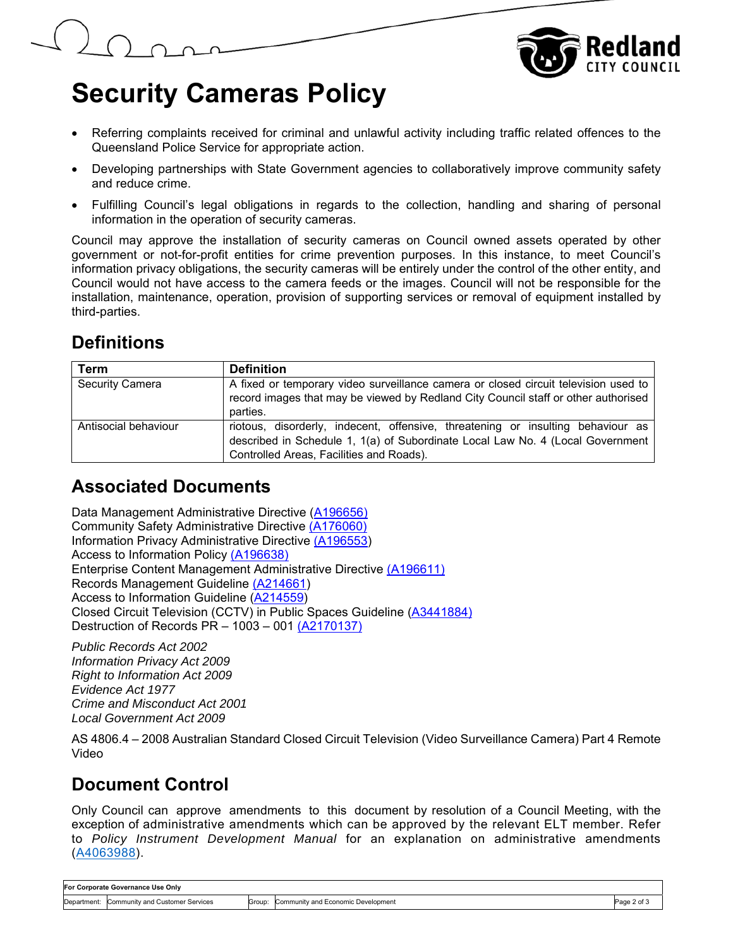



# **Security Cameras Policy**

- Referring complaints received for criminal and unlawful activity including traffic related offences to the Queensland Police Service for appropriate action.
- Developing partnerships with State Government agencies to collaboratively improve community safety and reduce crime.
- Fulfilling Council's legal obligations in regards to the collection, handling and sharing of personal information in the operation of security cameras.

Council may approve the installation of security cameras on Council owned assets operated by other government or not-for-profit entities for crime prevention purposes. In this instance, to meet Council's information privacy obligations, the security cameras will be entirely under the control of the other entity, and Council would not have access to the camera feeds or the images. Council will not be responsible for the installation, maintenance, operation, provision of supporting services or removal of equipment installed by third-parties.

# **Definitions**

| Term                   | <b>Definition</b>                                                                                                                                                 |  |  |  |  |
|------------------------|-------------------------------------------------------------------------------------------------------------------------------------------------------------------|--|--|--|--|
| <b>Security Camera</b> | A fixed or temporary video surveillance camera or closed circuit television used to                                                                               |  |  |  |  |
|                        | record images that may be viewed by Redland City Council staff or other authorised                                                                                |  |  |  |  |
|                        | parties.                                                                                                                                                          |  |  |  |  |
| Antisocial behaviour   | riotous, disorderly, indecent, offensive, threatening or insulting behaviour as<br>described in Schedule 1, 1(a) of Subordinate Local Law No. 4 (Local Government |  |  |  |  |
|                        | Controlled Areas, Facilities and Roads).                                                                                                                          |  |  |  |  |

#### **Associated Documents**

Data Management Administrative Directive (A196656) Community Safety Administrative Directive (A176060) Information Privacy Administrative Directive (A196553) Access to Information Policy (A196638) Enterprise Content Management Administrative Directive (A196611) Records Management Guideline (A214661) Access to Information Guideline (A214559) Closed Circuit Television (CCTV) in Public Spaces Guideline (A3441884) Destruction of Records PR – 1003 – 001 (A2170137)

*Public Records Act 2002 Information Privacy Act 2009 Right to Information Act 2009 Evidence Act 1977 Crime and Misconduct Act 2001 Local Government Act 2009* 

AS 4806.4 – 2008 Australian Standard Closed Circuit Television (Video Surveillance Camera) Part 4 Remote Video

### **Document Control**

Only Council can approve amendments to this document by resolution of a Council Meeting, with the exception of administrative amendments which can be approved by the relevant ELT member. Refer to *Policy Instrument Development Manual* for an explanation on administrative amendments (A4063988).

| For Corporate Governance Use Only |                                 |        |                                    |             |
|-----------------------------------|---------------------------------|--------|------------------------------------|-------------|
| Department:                       | Community and Customer Services | Group: | Community and Economic Development | Page 2 of 5 |